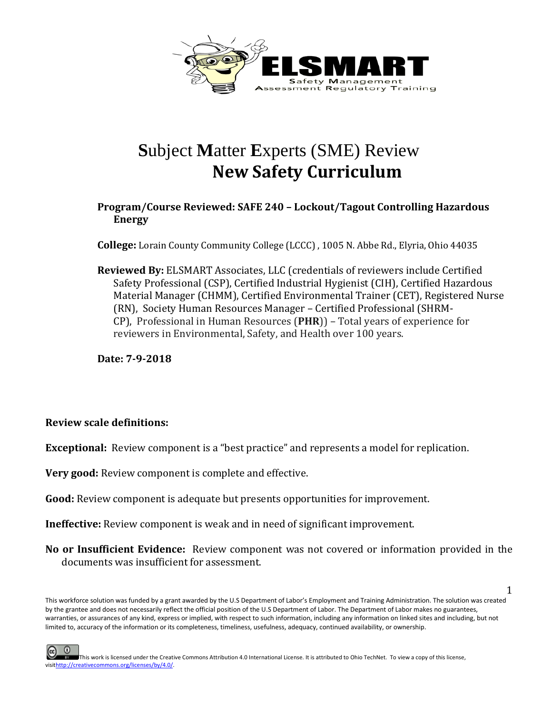

## **S**ubject **M**atter **E**xperts (SME) Review **New Safety Curriculum**

## **Program/Course Reviewed: SAFE 240 – Lockout/Tagout Controlling Hazardous Energy**

**College:** Lorain County Community College (LCCC) , 1005 N. Abbe Rd., Elyria, Ohio 44035

**Reviewed By:** ELSMART Associates, LLC (credentials of reviewers include Certified Safety Professional (CSP), Certified Industrial Hygienist (CIH), Certified Hazardous Material Manager (CHMM), Certified Environmental Trainer (CET), Registered Nurse (RN), Society Human Resources Manager – Certified Professional (SHRM-CP), Professional in Human Resources (**PHR**)) – Total years of experience for reviewers in Environmental, Safety, and Health over 100 years.

**Date: 7-9-2018**

## **Review scale definitions:**

**Exceptional:** Review component is a "best practice" and represents a model for replication.

**Very good:** Review component is complete and effective.

**Good:** Review component is adequate but presents opportunities for improvement.

**Ineffective:** Review component is weak and in need of significant improvement.

**No or Insufficient Evidence:** Review component was not covered or information provided in the documents was insufficient for assessment.

1

This workforce solution was funded by a grant awarded by the U.S Department of Labor's Employment and Training Administration. The solution was created by the grantee and does not necessarily reflect the official position of the U.S Department of Labor. The Department of Labor makes no guarantees, warranties, or assurances of any kind, express or implied, with respect to such information, including any information on linked sites and including, but not limited to, accuracy of the information or its completeness, timeliness, usefulness, adequacy, continued availability, or ownership.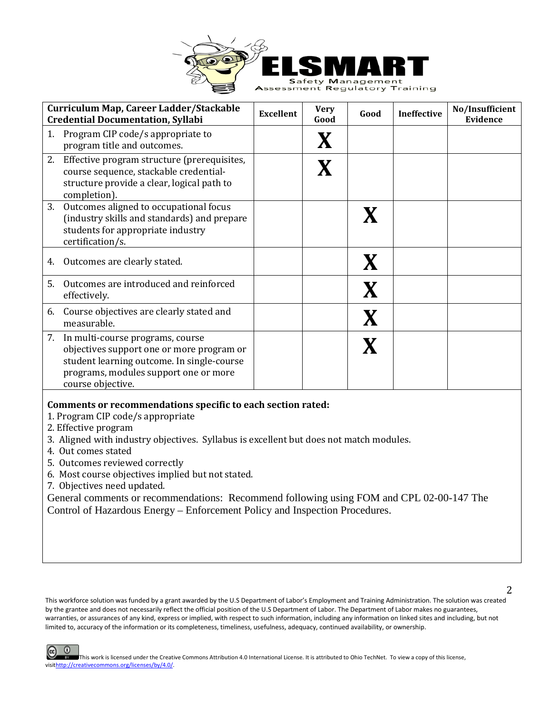

| Curriculum Map, Career Ladder/Stackable<br><b>Credential Documentation, Syllabi</b>                                                                                                          | <b>Excellent</b> | <b>Very</b><br>Good | Good | <b>Ineffective</b> | No/Insufficient<br>Evidence |
|----------------------------------------------------------------------------------------------------------------------------------------------------------------------------------------------|------------------|---------------------|------|--------------------|-----------------------------|
| Program CIP code/s appropriate to<br>1.<br>program title and outcomes.                                                                                                                       |                  | X                   |      |                    |                             |
| 2. Effective program structure (prerequisites,<br>course sequence, stackable credential-<br>structure provide a clear, logical path to<br>completion).                                       |                  | X                   |      |                    |                             |
| 3.<br>Outcomes aligned to occupational focus<br>(industry skills and standards) and prepare<br>students for appropriate industry<br>certification/s.                                         |                  |                     |      |                    |                             |
| Outcomes are clearly stated.<br>4.                                                                                                                                                           |                  |                     |      |                    |                             |
| Outcomes are introduced and reinforced<br>5.<br>effectively.                                                                                                                                 |                  |                     |      |                    |                             |
| 6. Course objectives are clearly stated and<br>measurable.                                                                                                                                   |                  |                     |      |                    |                             |
| 7. In multi-course programs, course<br>objectives support one or more program or<br>student learning outcome. In single-course<br>programs, modules support one or more<br>course objective. |                  |                     |      |                    |                             |

## **Comments or recommendations specific to each section rated:**

- 1. Program CIP code/s appropriate
- 2. Effective program
- 3. Aligned with industry objectives. Syllabus is excellent but does not match modules.
- 4. Out comes stated
- 5. Outcomes reviewed correctly
- 6. Most course objectives implied but not stated.
- 7. Objectives need updated.

General comments or recommendations: Recommend following using FOM and CPL 02-00-147 The Control of Hazardous Energy – Enforcement Policy and Inspection Procedures.

This workforce solution was funded by a grant awarded by the U.S Department of Labor's Employment and Training Administration. The solution was created by the grantee and does not necessarily reflect the official position of the U.S Department of Labor. The Department of Labor makes no guarantees, warranties, or assurances of any kind, express or implied, with respect to such information, including any information on linked sites and including, but not limited to, accuracy of the information or its completeness, timeliness, usefulness, adequacy, continued availability, or ownership.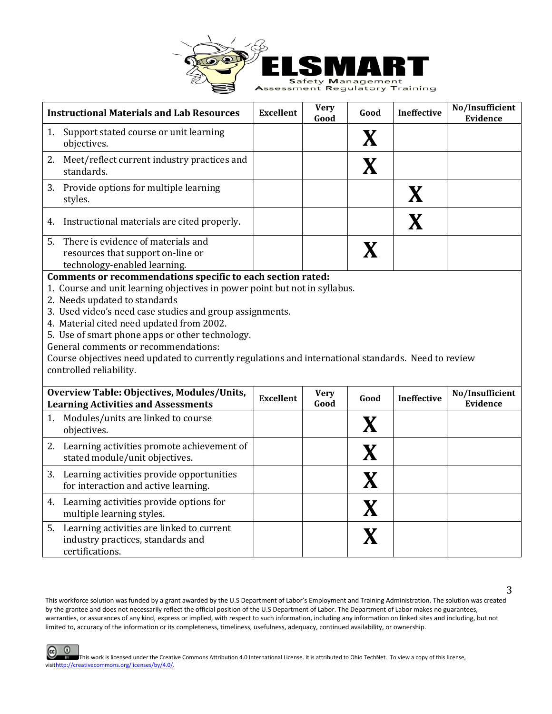

| <b>Instructional Materials and Lab Resources</b>                                                                                                                                                                                                                                                                                                                                                                                                  | <b>Excellent</b> | <b>Very</b><br>Good | Good        | <b>Ineffective</b> | No/Insufficient<br><b>Evidence</b> |  |
|---------------------------------------------------------------------------------------------------------------------------------------------------------------------------------------------------------------------------------------------------------------------------------------------------------------------------------------------------------------------------------------------------------------------------------------------------|------------------|---------------------|-------------|--------------------|------------------------------------|--|
| Support stated course or unit learning<br>1.<br>objectives.                                                                                                                                                                                                                                                                                                                                                                                       |                  |                     | $\mathbf X$ |                    |                                    |  |
| 2. Meet/reflect current industry practices and<br>standards.                                                                                                                                                                                                                                                                                                                                                                                      |                  |                     | $\mathbf X$ |                    |                                    |  |
| 3.<br>Provide options for multiple learning<br>styles.                                                                                                                                                                                                                                                                                                                                                                                            |                  |                     |             | X                  |                                    |  |
| Instructional materials are cited properly.<br>4.                                                                                                                                                                                                                                                                                                                                                                                                 |                  |                     |             | X                  |                                    |  |
| 5.<br>There is evidence of materials and<br>resources that support on-line or<br>technology-enabled learning.                                                                                                                                                                                                                                                                                                                                     |                  |                     | X           |                    |                                    |  |
| 1. Course and unit learning objectives in power point but not in syllabus.<br>2. Needs updated to standards<br>3. Used video's need case studies and group assignments.<br>4. Material cited need updated from 2002.<br>5. Use of smart phone apps or other technology.<br>General comments or recommendations:<br>Course objectives need updated to currently regulations and international standards. Need to review<br>controlled reliability. |                  |                     |             |                    |                                    |  |
| Overview Table: Objectives, Modules/Units,<br><b>Learning Activities and Assessments</b>                                                                                                                                                                                                                                                                                                                                                          | <b>Excellent</b> | <b>Very</b><br>Good | Good        | <b>Ineffective</b> | No/Insufficient<br><b>Evidence</b> |  |
| Modules/units are linked to course<br>1.<br>objectives.                                                                                                                                                                                                                                                                                                                                                                                           |                  |                     | $\mathbf X$ |                    |                                    |  |
| Learning activities promote achievement of<br>2.<br>stated module/unit objectives.                                                                                                                                                                                                                                                                                                                                                                |                  |                     | $\mathbf X$ |                    |                                    |  |
| Learning activities provide opportunities<br>3.<br>for interaction and active learning.                                                                                                                                                                                                                                                                                                                                                           |                  |                     | X           |                    |                                    |  |
| 4. Learning activities provide options for<br>multiple learning styles.                                                                                                                                                                                                                                                                                                                                                                           |                  |                     | X           |                    |                                    |  |
| 5. Learning activities are linked to current<br>industry practices, standards and<br>certifications.                                                                                                                                                                                                                                                                                                                                              |                  |                     |             |                    |                                    |  |

This workforce solution was funded by a grant awarded by the U.S Department of Labor's Employment and Training Administration. The solution was created by the grantee and does not necessarily reflect the official position of the U.S Department of Labor. The Department of Labor makes no guarantees, warranties, or assurances of any kind, express or implied, with respect to such information, including any information on linked sites and including, but not limited to, accuracy of the information or its completeness, timeliness, usefulness, adequacy, continued availability, or ownership.

3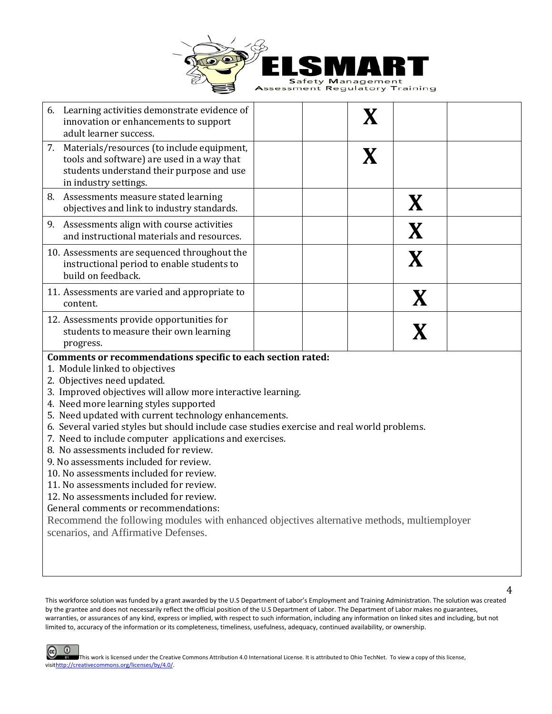

|    | 6. Learning activities demonstrate evidence of<br>innovation or enhancements to support<br>adult learner success.                                                                                                                                                                                                                                                                                                                                                                                                                                                                                                                                                                                                                                                                                                                                            |  | $\mathbf X$ |             |  |
|----|--------------------------------------------------------------------------------------------------------------------------------------------------------------------------------------------------------------------------------------------------------------------------------------------------------------------------------------------------------------------------------------------------------------------------------------------------------------------------------------------------------------------------------------------------------------------------------------------------------------------------------------------------------------------------------------------------------------------------------------------------------------------------------------------------------------------------------------------------------------|--|-------------|-------------|--|
|    | 7. Materials/resources (to include equipment,<br>tools and software) are used in a way that<br>students understand their purpose and use<br>in industry settings.                                                                                                                                                                                                                                                                                                                                                                                                                                                                                                                                                                                                                                                                                            |  | X           |             |  |
| 8. | Assessments measure stated learning<br>objectives and link to industry standards.                                                                                                                                                                                                                                                                                                                                                                                                                                                                                                                                                                                                                                                                                                                                                                            |  |             | X           |  |
|    | 9. Assessments align with course activities<br>and instructional materials and resources.                                                                                                                                                                                                                                                                                                                                                                                                                                                                                                                                                                                                                                                                                                                                                                    |  |             | X           |  |
|    | 10. Assessments are sequenced throughout the<br>instructional period to enable students to<br>build on feedback.                                                                                                                                                                                                                                                                                                                                                                                                                                                                                                                                                                                                                                                                                                                                             |  |             | X           |  |
|    | 11. Assessments are varied and appropriate to<br>content.                                                                                                                                                                                                                                                                                                                                                                                                                                                                                                                                                                                                                                                                                                                                                                                                    |  |             | $\mathbf X$ |  |
|    | 12. Assessments provide opportunities for<br>students to measure their own learning<br>progress.                                                                                                                                                                                                                                                                                                                                                                                                                                                                                                                                                                                                                                                                                                                                                             |  |             | $\mathbf X$ |  |
|    | Comments or recommendations specific to each section rated:<br>1. Module linked to objectives<br>2. Objectives need updated.<br>3. Improved objectives will allow more interactive learning.<br>4. Need more learning styles supported<br>5. Need updated with current technology enhancements.<br>6. Several varied styles but should include case studies exercise and real world problems.<br>7. Need to include computer applications and exercises.<br>8. No assessments included for review.<br>9. No assessments included for review.<br>10. No assessments included for review.<br>11. No assessments included for review.<br>12. No assessments included for review.<br>General comments or recommendations:<br>Recommend the following modules with enhanced objectives alternative methods, multiemployer<br>scenarios, and Affirmative Defenses. |  |             |             |  |

This workforce solution was funded by a grant awarded by the U.S Department of Labor's Employment and Training Administration. The solution was created by the grantee and does not necessarily reflect the official position of the U.S Department of Labor. The Department of Labor makes no guarantees, warranties, or assurances of any kind, express or implied, with respect to such information, including any information on linked sites and including, but not limited to, accuracy of the information or its completeness, timeliness, usefulness, adequacy, continued availability, or ownership.

4